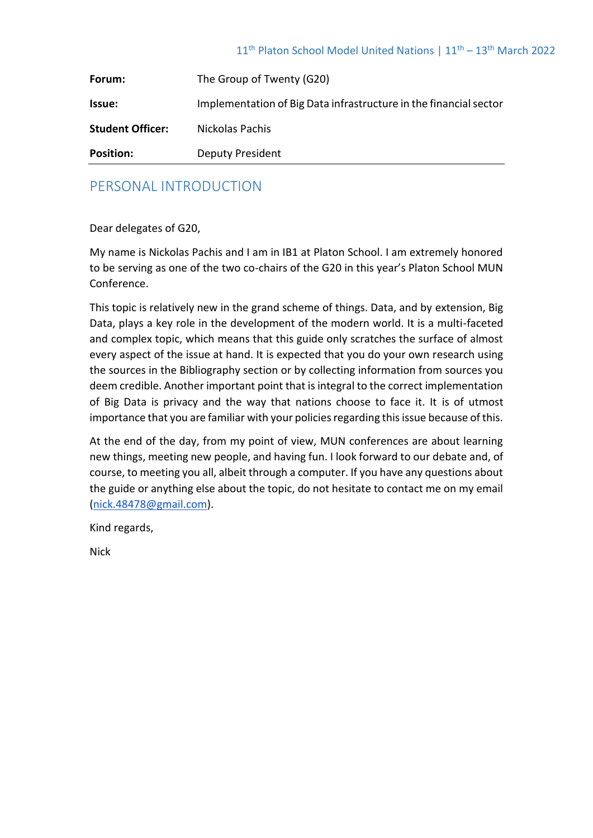| Forum:                  | The Group of Twenty (G20)                                         |
|-------------------------|-------------------------------------------------------------------|
| <b>Issue:</b>           | Implementation of Big Data infrastructure in the financial sector |
| <b>Student Officer:</b> | Nickolas Pachis                                                   |
| <b>Position:</b>        | <b>Deputy President</b>                                           |

## PERSONAL INTRODUCTION

Dear delegates of G20,

My name is Nickolas Pachis and I am in IB1 at Platon School. I am extremely honored to be serving as one of the two co-chairs of the G20 in this year's Platon School MUN Conference.

This topic is relatively new in the grand scheme of things. Data, and by extension, Big Data, plays a key role in the development of the modern world. It is a multi-faceted and complex topic, which means that this guide only scratches the surface of almost every aspect of the issue at hand. It is expected that you do your own research using the sources in the Bibliography section or by collecting information from sources you deem credible. Another important point that is integral to the correct implementation of Big Data is privacy and the way that nations choose to face it. It is of utmost importance that you are familiar with your policies regarding this issue because of this.

At the end of the day, from my point of view, MUN conferences are about learning new things, meeting new people, and having fun. I look forward to our debate and, of course, to meeting you all, albeit through a computer. If you have any questions about the guide or anything else about the topic, do not hesitate to contact me on my email [\(nick.48478@gmail.com\)](mailto:nick.48478@gmail.com).

Kind regards,

Nick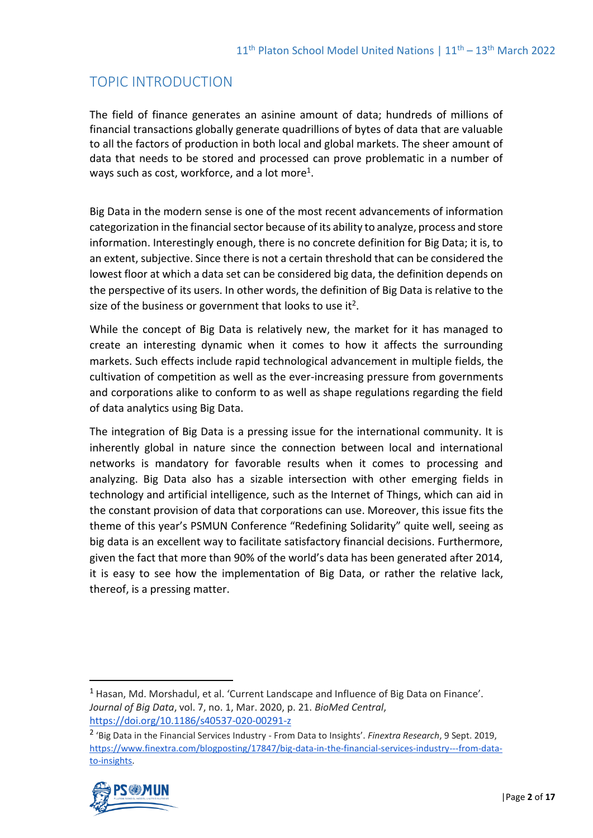# TOPIC INTRODUCTION

The field of finance generates an asinine amount of data; hundreds of millions of financial transactions globally generate quadrillions of bytes of data that are valuable to all the factors of production in both local and global markets. The sheer amount of data that needs to be stored and processed can prove problematic in a number of ways such as cost, workforce, and a lot more<sup>1</sup>.

Big Data in the modern sense is one of the most recent advancements of information categorization in the financial sector because of its ability to analyze, process and store information. Interestingly enough, there is no concrete definition for Big Data; it is, to an extent, subjective. Since there is not a certain threshold that can be considered the lowest floor at which a data set can be considered big data, the definition depends on the perspective of its users. In other words, the definition of Big Data is relative to the size of the business or government that looks to use it<sup>2</sup>.

While the concept of Big Data is relatively new, the market for it has managed to create an interesting dynamic when it comes to how it affects the surrounding markets. Such effects include rapid technological advancement in multiple fields, the cultivation of competition as well as the ever-increasing pressure from governments and corporations alike to conform to as well as shape regulations regarding the field of data analytics using Big Data.

The integration of Big Data is a pressing issue for the international community. It is inherently global in nature since the connection between local and international networks is mandatory for favorable results when it comes to processing and analyzing. Big Data also has a sizable intersection with other emerging fields in technology and artificial intelligence, such as the Internet of Things, which can aid in the constant provision of data that corporations can use. Moreover, this issue fits the theme of this year's PSMUN Conference "Redefining Solidarity" quite well, seeing as big data is an excellent way to facilitate satisfactory financial decisions. Furthermore, given the fact that more than 90% of the world's data has been generated after 2014, it is easy to see how the implementation of Big Data, or rather the relative lack, thereof, is a pressing matter.

<sup>2</sup> 'Big Data in the Financial Services Industry - From Data to Insights'. *Finextra Research*, 9 Sept. 2019, [https://www.finextra.com/blogposting/17847/big-data-in-the-financial-services-industry---from-data](https://www.finextra.com/blogposting/17847/big-data-in-the-financial-services-industry---from-data-to-insights)[to-insights.](https://www.finextra.com/blogposting/17847/big-data-in-the-financial-services-industry---from-data-to-insights)



<sup>1</sup> Hasan, Md. Morshadul, et al. 'Current Landscape and Influence of Big Data on Finance'. *Journal of Big Data*, vol. 7, no. 1, Mar. 2020, p. 21. *BioMed Central*, <https://doi.org/10.1186/s40537-020-00291-z>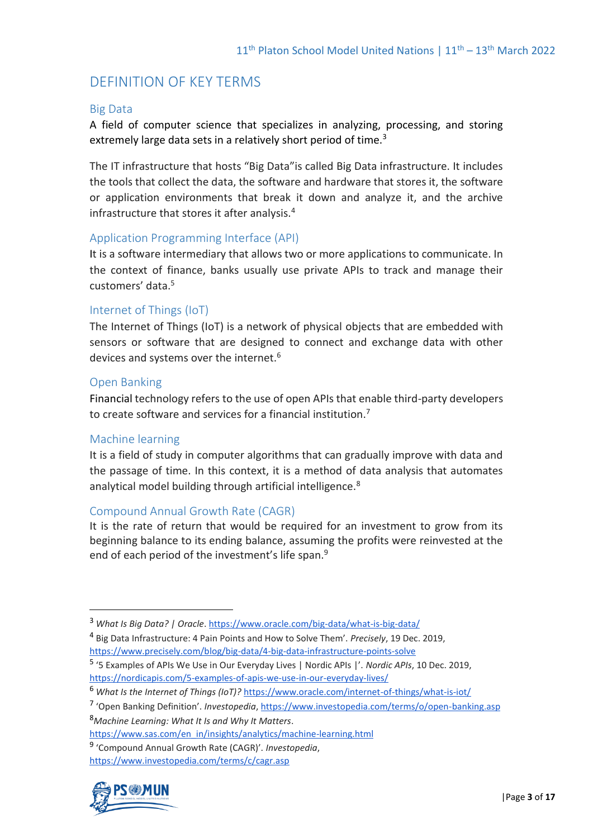## DEFINITION OF KEY TERMS

### Big Data

A field of computer science that specializes in analyzing, processing, and storing extremely large data sets in a relatively short period of time.<sup>3</sup>

The IT infrastructure that hosts "Big Data"is called Big Data infrastructure. It includes the tools that collect the data, the software and hardware that stores it, the software or application environments that break it down and analyze it, and the archive infrastructure that stores it after analysis.<sup>4</sup>

#### Application Programming Interface (API)

It is a software intermediary that allows two or more applications to communicate. In the context of finance, banks usually use private APIs to track and manage their customers' data.<sup>5</sup>

## Internet of Things (IoT)

The Internet of Things (IoT) is a network of physical objects that are embedded with sensors or software that are designed to connect and exchange data with other devices and systems over the internet.<sup>6</sup>

#### Open Banking

Financial technology refers to the use of open APIs that enable third-party developers to create software and services for a financial institution.<sup>7</sup>

#### Machine learning

It is a field of study in computer algorithms that can gradually improve with data and the passage of time. In this context, it is a method of data analysis that automates analytical model building through artificial intelligence.<sup>8</sup>

## Compound Annual Growth Rate (CAGR)

It is the rate of return that would be required for an investment to grow from its beginning balance to its ending balance, assuming the profits were reinvested at the end of each period of the investment's life span.<sup>9</sup>

<sup>8</sup>*Machine Learning: What It Is and Why It Matters*.

<https://www.investopedia.com/terms/c/cagr.asp>



<sup>3</sup> *What Is Big Data? | Oracle*[. https://www.oracle.com/big-data/what-is-big-data/](https://www.oracle.com/big-data/what-is-big-data/)

<sup>4</sup> Big Data Infrastructure: 4 Pain Points and How to Solve Them'. *Precisely*, 19 Dec. 2019, <https://www.precisely.com/blog/big-data/4-big-data-infrastructure-points-solve>

<sup>5</sup> '5 Examples of APIs We Use in Our Everyday Lives | Nordic APIs |'. *Nordic APIs*, 10 Dec. 2019, <https://nordicapis.com/5-examples-of-apis-we-use-in-our-everyday-lives/>

<sup>6</sup> *What Is the Internet of Things (IoT)?* <https://www.oracle.com/internet-of-things/what-is-iot/>

<sup>7</sup> 'Open Banking Definition'. *Investopedia*[, https://www.investopedia.com/terms/o/open-banking.asp](https://www.investopedia.com/terms/o/open-banking.asp)

[https://www.sas.com/en\\_in/insights/analytics/machine-learning.html](https://www.sas.com/en_in/insights/analytics/machine-learning.html)

<sup>9</sup> 'Compound Annual Growth Rate (CAGR)'. *Investopedia*,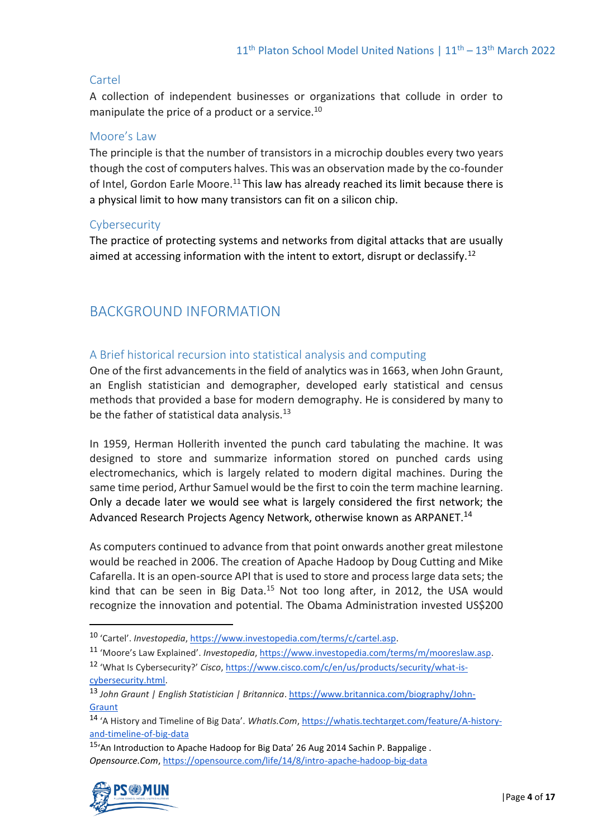## Cartel

A collection of independent businesses or organizations that collude in order to manipulate the price of a product or a service.<sup>10</sup>

## Moore's Law

The principle is that the number of transistors in a microchip doubles every two years though the cost of computers halves. This was an observation made by the co-founder of Intel, Gordon Earle Moore.<sup>11</sup> This law has already reached its limit because there is a physical limit to how many transistors can fit on a silicon chip.

## Cybersecurity

The practice of protecting systems and networks from digital attacks that are usually aimed at accessing information with the intent to extort, disrupt or declassify.<sup>12</sup>

# BACKGROUND INFORMATION

## A Brief historical recursion into statistical analysis and computing

One of the first advancements in the field of analytics was in 1663, when John Graunt, an English statistician and demographer, developed early statistical and census methods that provided a base for modern demography. He is considered by many to be the father of statistical data analysis. $^{13}$ 

In 1959, Herman Hollerith invented the punch card tabulating the machine. It was designed to store and summarize information stored on punched cards using electromechanics, which is largely related to modern digital machines. During the same time period, Arthur Samuel would be the first to coin the term machine learning. Only a decade later we would see what is largely considered the first network; the Advanced Research Projects Agency Network, otherwise known as ARPANET.<sup>14</sup>

As computers continued to advance from that point onwards another great milestone would be reached in 2006. The creation of Apache Hadoop by Doug Cutting and Mike Cafarella. It is an open-source API that is used to store and process large data sets; the kind that can be seen in Big Data.<sup>15</sup> Not too long after, in 2012, the USA would recognize the innovation and potential. The Obama Administration invested US\$200

- <sup>11</sup> 'Moore's Law Explained'. *Investopedia*[, https://www.investopedia.com/terms/m/mooreslaw.asp.](https://www.investopedia.com/terms/m/mooreslaw.asp)
- <sup>12</sup> 'What Is Cybersecurity?' *Cisco*[, https://www.cisco.com/c/en/us/products/security/what-is](https://www.cisco.com/c/en/us/products/security/what-is-cybersecurity.html)[cybersecurity.html.](https://www.cisco.com/c/en/us/products/security/what-is-cybersecurity.html)

<sup>15</sup>'An Introduction to Apache Hadoop for Big Data' 26 Aug 2014 Sachin P. Bappalige . *Opensource.Com*[, https://opensource.com/life/14/8/intro-apache-hadoop-big-data](https://opensource.com/life/14/8/intro-apache-hadoop-big-data)



<sup>10</sup> 'Cartel'. *Investopedia*, [https://www.investopedia.com/terms/c/cartel.asp.](https://www.investopedia.com/terms/c/cartel.asp)

<sup>13</sup> *John Graunt | English Statistician | Britannica*[. https://www.britannica.com/biography/John-](https://www.britannica.com/biography/John-Graunt)**[Graunt](https://www.britannica.com/biography/John-Graunt)** 

<sup>14</sup> 'A History and Timeline of Big Data'. *WhatIs.Com*, [https://whatis.techtarget.com/feature/A-history](https://whatis.techtarget.com/feature/A-history-and-timeline-of-big-data)[and-timeline-of-big-data](https://whatis.techtarget.com/feature/A-history-and-timeline-of-big-data)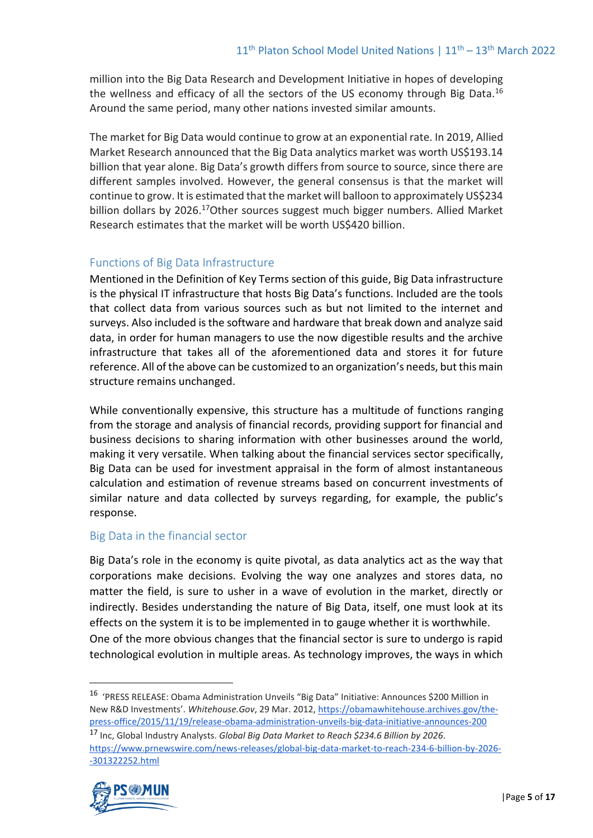million into the Big Data Research and Development Initiative in hopes of developing the wellness and efficacy of all the sectors of the US economy through Big Data.<sup>16</sup> Around the same period, many other nations invested similar amounts.

The market for Big Data would continue to grow at an exponential rate. In 2019, Allied Market Research announced that the Big Data analytics market was worth US\$193.14 billion that year alone. Big Data's growth differs from source to source, since there are different samples involved. However, the general consensus is that the market will continue to grow. It is estimated that the market will balloon to approximately US\$234 billion dollars by 2026.<sup>17</sup>Other sources suggest much bigger numbers. Allied Market Research estimates that the market will be worth US\$420 billion.

## Functions of Big Data Infrastructure

Mentioned in the Definition of Key Terms section of this guide, Big Data infrastructure is the physical IT infrastructure that hosts Big Data's functions. Included are the tools that collect data from various sources such as but not limited to the internet and surveys. Also included is the software and hardware that break down and analyze said data, in order for human managers to use the now digestible results and the archive infrastructure that takes all of the aforementioned data and stores it for future reference. All of the above can be customized to an organization's needs, but this main structure remains unchanged.

While conventionally expensive, this structure has a multitude of functions ranging from the storage and analysis of financial records, providing support for financial and business decisions to sharing information with other businesses around the world, making it very versatile. When talking about the financial services sector specifically, Big Data can be used for investment appraisal in the form of almost instantaneous calculation and estimation of revenue streams based on concurrent investments of similar nature and data collected by surveys regarding, for example, the public's response.

## Big Data in the financial sector

Big Data's role in the economy is quite pivotal, as data analytics act as the way that corporations make decisions. Evolving the way one analyzes and stores data, no matter the field, is sure to usher in a wave of evolution in the market, directly or indirectly. Besides understanding the nature of Big Data, itself, one must look at its effects on the system it is to be implemented in to gauge whether it is worthwhile. One of the more obvious changes that the financial sector is sure to undergo is rapid technological evolution in multiple areas. As technology improves, the ways in which

<sup>17</sup> Inc, Global Industry Analysts. *Global Big Data Market to Reach \$234.6 Billion by 2026*. [https://www.prnewswire.com/news-releases/global-big-data-market-to-reach-234-6-billion-by-2026-](https://www.prnewswire.com/news-releases/global-big-data-market-to-reach-234-6-billion-by-2026--301322252.html) [-301322252.html](https://www.prnewswire.com/news-releases/global-big-data-market-to-reach-234-6-billion-by-2026--301322252.html)



<sup>16</sup> 'PRESS RELEASE: Obama Administration Unveils "Big Data" Initiative: Announces \$200 Million in New R&D Investments'. *Whitehouse.Gov*, 29 Mar. 2012[, https://obamawhitehouse.archives.gov/the](https://obamawhitehouse.archives.gov/the-press-office/2015/11/19/release-obama-administration-unveils-big-data-initiative-announces-200)[press-office/2015/11/19/release-obama-administration-unveils-big-data-initiative-announces-200](https://obamawhitehouse.archives.gov/the-press-office/2015/11/19/release-obama-administration-unveils-big-data-initiative-announces-200)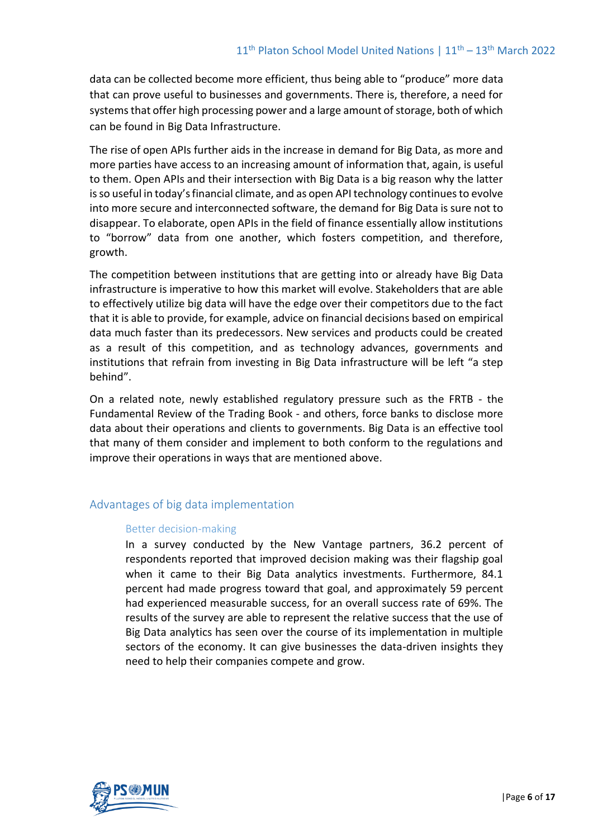data can be collected become more efficient, thus being able to "produce" more data that can prove useful to businesses and governments. There is, therefore, a need for systems that offer high processing power and a large amount of storage, both of which can be found in Big Data Infrastructure.

The rise of open APIs further aids in the increase in demand for Big Data, as more and more parties have access to an increasing amount of information that, again, is useful to them. Open APIs and their intersection with Big Data is a big reason why the latter is so useful in today's financial climate, and as open API technology continues to evolve into more secure and interconnected software, the demand for Big Data is sure not to disappear. To elaborate, open APIs in the field of finance essentially allow institutions to "borrow" data from one another, which fosters competition, and therefore, growth.

The competition between institutions that are getting into or already have Big Data infrastructure is imperative to how this market will evolve. Stakeholders that are able to effectively utilize big data will have the edge over their competitors due to the fact that it is able to provide, for example, advice on financial decisions based on empirical data much faster than its predecessors. New services and products could be created as a result of this competition, and as technology advances, governments and institutions that refrain from investing in Big Data infrastructure will be left "a step behind".

On a related note, newly established regulatory pressure such as the FRTB - the Fundamental Review of the Trading Book - and others, force banks to disclose more data about their operations and clients to governments. Big Data is an effective tool that many of them consider and implement to both conform to the regulations and improve their operations in ways that are mentioned above.

## Advantages of big data implementation

#### Better decision-making

In a survey conducted by the New Vantage partners, 36.2 percent of respondents reported that improved decision making was their flagship goal when it came to their Big Data analytics investments. Furthermore, 84.1 percent had made progress toward that goal, and approximately 59 percent had experienced measurable success, for an overall success rate of 69%. The results of the survey are able to represent the relative success that the use of Big Data analytics has seen over the course of its implementation in multiple sectors of the economy. It can give businesses the data-driven insights they need to help their companies compete and grow.

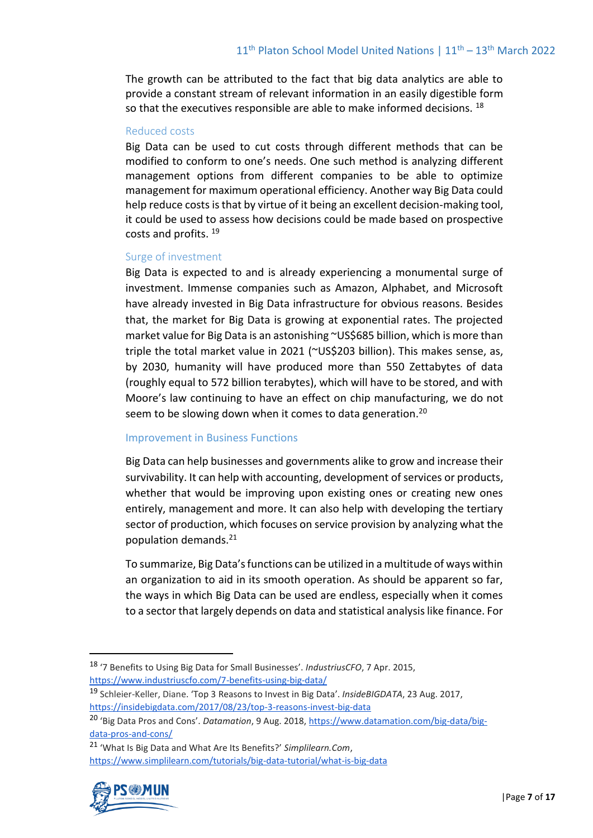The growth can be attributed to the fact that big data analytics are able to provide a constant stream of relevant information in an easily digestible form so that the executives responsible are able to make informed decisions.  $^{18}$ 

#### Reduced costs

Big Data can be used to cut costs through different methods that can be modified to conform to one's needs. One such method is analyzing different management options from different companies to be able to optimize management for maximum operational efficiency. Another way Big Data could help reduce costs is that by virtue of it being an excellent decision-making tool, it could be used to assess how decisions could be made based on prospective costs and profits. <sup>19</sup>

#### Surge of investment

Big Data is expected to and is already experiencing a monumental surge of investment. Immense companies such as Amazon, Alphabet, and Microsoft have already invested in Big Data infrastructure for obvious reasons. Besides that, the market for Big Data is growing at exponential rates. The projected market value for Big Data is an astonishing ~US\$685 billion, which is more than triple the total market value in 2021 (~US\$203 billion). This makes sense, as, by 2030, humanity will have produced more than 550 Zettabytes of data (roughly equal to 572 billion terabytes), which will have to be stored, and with Moore's law continuing to have an effect on chip manufacturing, we do not seem to be slowing down when it comes to data generation.<sup>20</sup>

#### Improvement in Business Functions

Big Data can help businesses and governments alike to grow and increase their survivability. It can help with accounting, development of services or products, whether that would be improving upon existing ones or creating new ones entirely, management and more. It can also help with developing the tertiary sector of production, which focuses on service provision by analyzing what the population demands.<sup>21</sup>

To summarize, Big Data's functions can be utilized in a multitude of ways within an organization to aid in its smooth operation. As should be apparent so far, the ways in which Big Data can be used are endless, especially when it comes to a sector that largely depends on data and statistical analysis like finance. For

<sup>21</sup> 'What Is Big Data and What Are Its Benefits?' *Simplilearn.Com*, <https://www.simplilearn.com/tutorials/big-data-tutorial/what-is-big-data>



<sup>18</sup> '7 Benefits to Using Big Data for Small Businesses'. *IndustriusCFO*, 7 Apr. 2015, <https://www.industriuscfo.com/7-benefits-using-big-data/>

<sup>19</sup> Schleier-Keller, Diane. 'Top 3 Reasons to Invest in Big Data'. *InsideBIGDATA*, 23 Aug. 2017, [https://insidebigdata.com/2017/08/23/top-3-reasons-invest-big-data](https://insidebigdata.com/2017/08/23/top-3-reasons-invest-big-data/)

<sup>20</sup> 'Big Data Pros and Cons'. *Datamation*, 9 Aug. 2018, [https://www.datamation.com/big-data/big](https://www.datamation.com/big-data/big-data-pros-and-cons/)[data-pros-and-cons/](https://www.datamation.com/big-data/big-data-pros-and-cons/)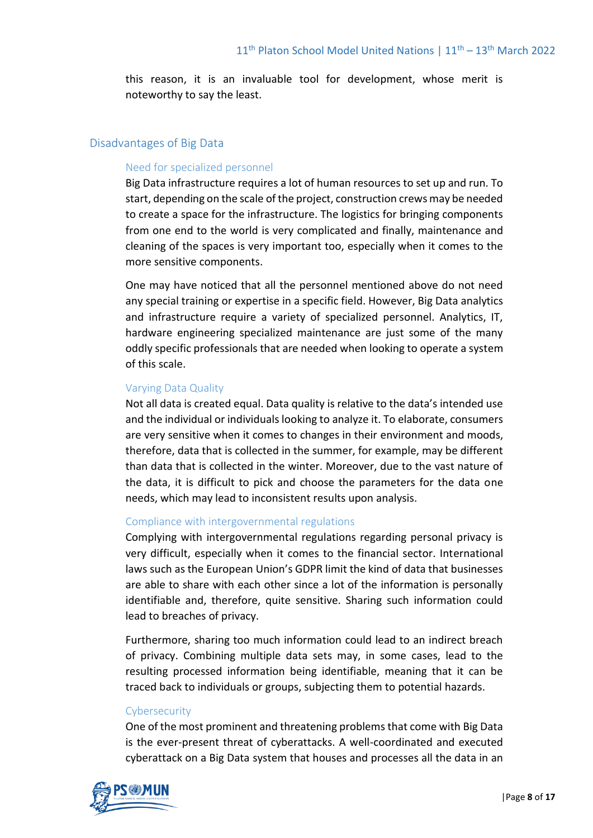this reason, it is an invaluable tool for development, whose merit is noteworthy to say the least.

## Disadvantages of Big Data

#### Need for specialized personnel

Big Data infrastructure requires a lot of human resources to set up and run. To start, depending on the scale of the project, construction crews may be needed to create a space for the infrastructure. The logistics for bringing components from one end to the world is very complicated and finally, maintenance and cleaning of the spaces is very important too, especially when it comes to the more sensitive components.

One may have noticed that all the personnel mentioned above do not need any special training or expertise in a specific field. However, Big Data analytics and infrastructure require a variety of specialized personnel. Analytics, IT, hardware engineering specialized maintenance are just some of the many oddly specific professionals that are needed when looking to operate a system of this scale.

#### Varying Data Quality

Not all data is created equal. Data quality is relative to the data's intended use and the individual or individuals looking to analyze it. To elaborate, consumers are very sensitive when it comes to changes in their environment and moods, therefore, data that is collected in the summer, for example, may be different than data that is collected in the winter. Moreover, due to the vast nature of the data, it is difficult to pick and choose the parameters for the data one needs, which may lead to inconsistent results upon analysis.

#### Compliance with intergovernmental regulations

Complying with intergovernmental regulations regarding personal privacy is very difficult, especially when it comes to the financial sector. International laws such as the European Union's GDPR limit the kind of data that businesses are able to share with each other since a lot of the information is personally identifiable and, therefore, quite sensitive. Sharing such information could lead to breaches of privacy.

Furthermore, sharing too much information could lead to an indirect breach of privacy. Combining multiple data sets may, in some cases, lead to the resulting processed information being identifiable, meaning that it can be traced back to individuals or groups, subjecting them to potential hazards.

#### **Cybersecurity**

One of the most prominent and threatening problems that come with Big Data is the ever-present threat of cyberattacks. A well-coordinated and executed cyberattack on a Big Data system that houses and processes all the data in an

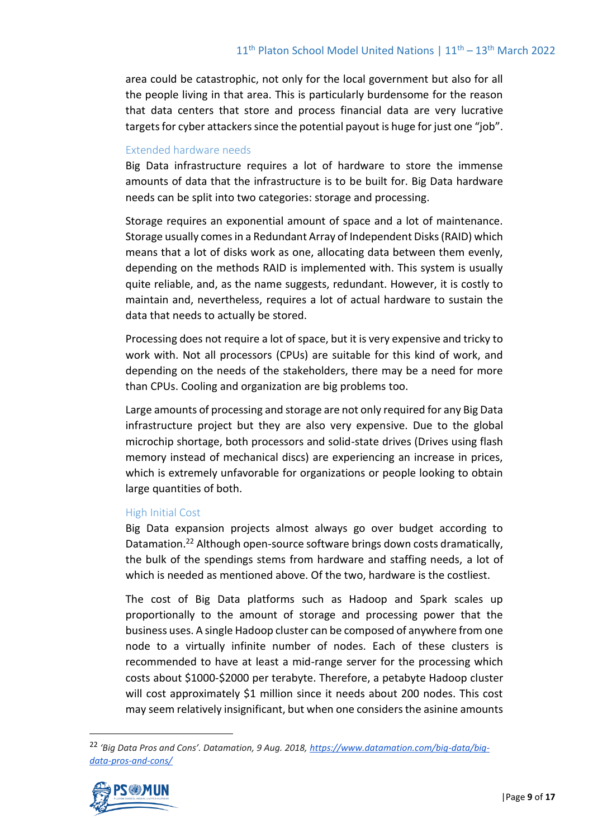area could be catastrophic, not only for the local government but also for all the people living in that area. This is particularly burdensome for the reason that data centers that store and process financial data are very lucrative targets for cyber attackers since the potential payout is huge for just one "job".

#### Extended hardware needs

Big Data infrastructure requires a lot of hardware to store the immense amounts of data that the infrastructure is to be built for. Big Data hardware needs can be split into two categories: storage and processing.

Storage requires an exponential amount of space and a lot of maintenance. Storage usually comes in a Redundant Array of Independent Disks (RAID) which means that a lot of disks work as one, allocating data between them evenly, depending on the methods RAID is implemented with. This system is usually quite reliable, and, as the name suggests, redundant. However, it is costly to maintain and, nevertheless, requires a lot of actual hardware to sustain the data that needs to actually be stored.

Processing does not require a lot of space, but it is very expensive and tricky to work with. Not all processors (CPUs) are suitable for this kind of work, and depending on the needs of the stakeholders, there may be a need for more than CPUs. Cooling and organization are big problems too.

Large amounts of processing and storage are not only required for any Big Data infrastructure project but they are also very expensive. Due to the global microchip shortage, both processors and solid-state drives (Drives using flash memory instead of mechanical discs) are experiencing an increase in prices, which is extremely unfavorable for organizations or people looking to obtain large quantities of both.

#### High Initial Cost

Big Data expansion projects almost always go over budget according to Datamation.<sup>22</sup> Although open-source software brings down costs dramatically, the bulk of the spendings stems from hardware and staffing needs, a lot of which is needed as mentioned above. Of the two, hardware is the costliest.

The cost of Big Data platforms such as Hadoop and Spark scales up proportionally to the amount of storage and processing power that the business uses. A single Hadoop cluster can be composed of anywhere from one node to a virtually infinite number of nodes. Each of these clusters is recommended to have at least a mid-range server for the processing which costs about \$1000-\$2000 per terabyte. Therefore, a petabyte Hadoop cluster will cost approximately \$1 million since it needs about 200 nodes. This cost may seem relatively insignificant, but when one considers the asinine amounts

<sup>&</sup>lt;sup>22</sup> 'Big Data Pros and Cons'. Datamation, 9 Aug. 2018, [https://www.datamation.com/big-data/big](https://www.datamation.com/big-data/big-data-pros-and-cons/)*[data-pros-and-cons/](https://www.datamation.com/big-data/big-data-pros-and-cons/)*

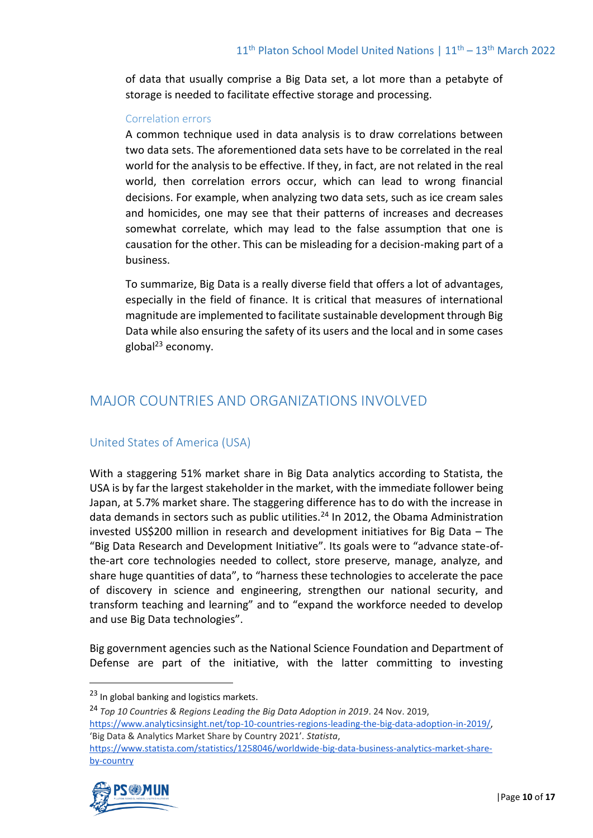of data that usually comprise a Big Data set, a lot more than a petabyte of storage is needed to facilitate effective storage and processing.

#### Correlation errors

A common technique used in data analysis is to draw correlations between two data sets. The aforementioned data sets have to be correlated in the real world for the analysis to be effective. If they, in fact, are not related in the real world, then correlation errors occur, which can lead to wrong financial decisions. For example, when analyzing two data sets, such as ice cream sales and homicides, one may see that their patterns of increases and decreases somewhat correlate, which may lead to the false assumption that one is causation for the other. This can be misleading for a decision-making part of a business.

To summarize, Big Data is a really diverse field that offers a lot of advantages, especially in the field of finance. It is critical that measures of international magnitude are implemented to facilitate sustainable development through Big Data while also ensuring the safety of its users and the local and in some cases global $^{23}$  economy.

# MAJOR COUNTRIES AND ORGANIZATIONS INVOLVED

## United States of America (USA)

With a staggering 51% market share in Big Data analytics according to Statista, the USA is by far the largest stakeholder in the market, with the immediate follower being Japan, at 5.7% market share. The staggering difference has to do with the increase in data demands in sectors such as public utilities.<sup>24</sup> In 2012, the Obama Administration invested US\$200 million in research and development initiatives for Big Data – The "Big Data Research and Development Initiative". Its goals were to "advance state-ofthe-art core technologies needed to collect, store preserve, manage, analyze, and share huge quantities of data", to "harness these technologies to accelerate the pace of discovery in science and engineering, strengthen our national security, and transform teaching and learning" and to "expand the workforce needed to develop and use Big Data technologies".

Big government agencies such as the National Science Foundation and Department of Defense are part of the initiative, with the latter committing to investing

<sup>24</sup> *Top 10 Countries & Regions Leading the Big Data Adoption in 2019*. 24 Nov. 2019, [https://www.analyticsinsight.net/top-10-countries-regions-leading-the-big-data-adoption-in-2019/,](https://www.analyticsinsight.net/top-10-countries-regions-leading-the-big-data-adoption-in-2019/) 'Big Data & Analytics Market Share by Country 2021'. *Statista*, [https://www.statista.com/statistics/1258046/worldwide-big-data-business-analytics-market-share](https://www.statista.com/statistics/1258046/worldwide-big-data-business-analytics-market-share-by-country/)[by-country](https://www.statista.com/statistics/1258046/worldwide-big-data-business-analytics-market-share-by-country/)



<sup>&</sup>lt;sup>23</sup> In global banking and logistics markets.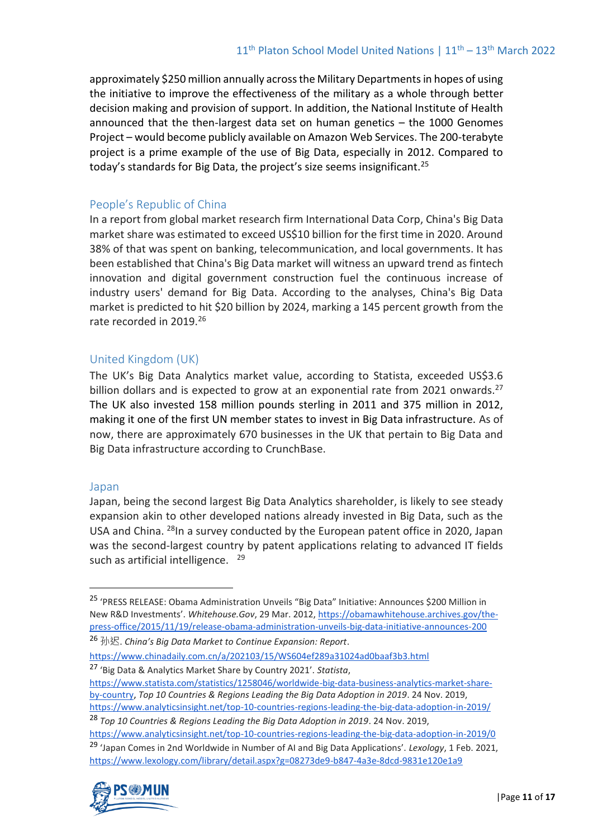approximately \$250 million annually across the Military Departments in hopes of using the initiative to improve the effectiveness of the military as a whole through better decision making and provision of support. In addition, the National Institute of Health announced that the then-largest data set on human genetics – the 1000 Genomes Project – would become publicly available on Amazon Web Services. The 200-terabyte project is a prime example of the use of Big Data, especially in 2012. Compared to today's standards for Big Data, the project's size seems insignificant.<sup>25</sup>

## People's Republic of China

In a report from global market research firm International Data Corp, China's Big Data market share was estimated to exceed US\$10 billion for the first time in 2020. Around 38% of that was spent on banking, telecommunication, and local governments. It has been established that China's Big Data market will witness an upward trend as fintech innovation and digital government construction fuel the continuous increase of industry users' demand for Big Data. According to the analyses, China's Big Data market is predicted to hit \$20 billion by 2024, marking a 145 percent growth from the rate recorded in 2019.<sup>26</sup>

## United Kingdom (UK)

The UK's Big Data Analytics market value, according to Statista, exceeded US\$3.6 billion dollars and is expected to grow at an exponential rate from 2021 onwards.<sup>27</sup> The UK also invested 158 million pounds sterling in 2011 and 375 million in 2012, making it one of the first UN member states to invest in Big Data infrastructure. As of now, there are approximately 670 businesses in the UK that pertain to Big Data and Big Data infrastructure according to CrunchBase.

## Japan

Japan, being the second largest Big Data Analytics shareholder, is likely to see steady expansion akin to other developed nations already invested in Big Data, such as the USA and China. <sup>28</sup>In a survey conducted by the European patent office in 2020, Japan was the second-largest country by patent applications relating to advanced IT fields such as artificial intelligence. <sup>29</sup>

<https://www.chinadaily.com.cn/a/202103/15/WS604ef289a31024ad0baaf3b3.html> <sup>27</sup> 'Big Data & Analytics Market Share by Country 2021'. *Statista*,

[https://www.statista.com/statistics/1258046/worldwide-big-data-business-analytics-market-share](https://www.statista.com/statistics/1258046/worldwide-big-data-business-analytics-market-share-by-country/)[by-country,](https://www.statista.com/statistics/1258046/worldwide-big-data-business-analytics-market-share-by-country/) *Top 10 Countries & Regions Leading the Big Data Adoption in 2019*. 24 Nov. 2019, <https://www.analyticsinsight.net/top-10-countries-regions-leading-the-big-data-adoption-in-2019/>

<sup>28</sup> *Top 10 Countries & Regions Leading the Big Data Adoption in 2019*. 24 Nov. 2019,

<https://www.analyticsinsight.net/top-10-countries-regions-leading-the-big-data-adoption-in-2019/0> <sup>29</sup> 'Japan Comes in 2nd Worldwide in Number of AI and Big Data Applications'. *Lexology*, 1 Feb. 2021, <https://www.lexology.com/library/detail.aspx?g=08273de9-b847-4a3e-8dcd-9831e120e1a9>



<sup>25</sup> 'PRESS RELEASE: Obama Administration Unveils "Big Data" Initiative: Announces \$200 Million in New R&D Investments'. *Whitehouse.Gov*, 29 Mar. 2012[, https://obamawhitehouse.archives.gov/the](https://obamawhitehouse.archives.gov/the-press-office/2015/11/19/release-obama-administration-unveils-big-data-initiative-announces-200)[press-office/2015/11/19/release-obama-administration-unveils-big-data-initiative-announces-200](https://obamawhitehouse.archives.gov/the-press-office/2015/11/19/release-obama-administration-unveils-big-data-initiative-announces-200)

<sup>26</sup> 孙迟. *China's Big Data Market to Continue Expansion: Report*.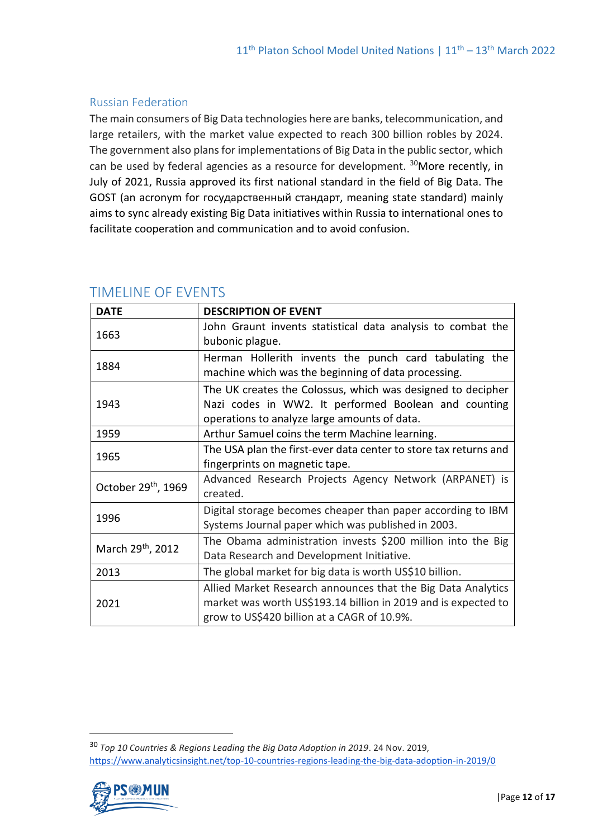## Russian Federation

The main consumers of Big Data technologies here are banks, telecommunication, and large retailers, with the market value expected to reach 300 billion robles by 2024. The government also plans for implementations of Big Data in the public sector, which can be used by federal agencies as a resource for development. <sup>30</sup>More recently, in July of 2021, Russia approved its first national standard in the field of Big Data. The GOST (an acronym for государственный стандарт, meaning state standard) mainly aims to sync already existing Big Data initiatives within Russia to international ones to facilitate cooperation and communication and to avoid confusion.

| <b>DATE</b>                   | <b>DESCRIPTION OF EVENT</b>                                                                                                                                                   |
|-------------------------------|-------------------------------------------------------------------------------------------------------------------------------------------------------------------------------|
| 1663                          | John Graunt invents statistical data analysis to combat the<br>bubonic plague.                                                                                                |
| 1884                          | Herman Hollerith invents the punch card tabulating the<br>machine which was the beginning of data processing.                                                                 |
| 1943                          | The UK creates the Colossus, which was designed to decipher<br>Nazi codes in WW2. It performed Boolean and counting<br>operations to analyze large amounts of data.           |
| 1959                          | Arthur Samuel coins the term Machine learning.                                                                                                                                |
| 1965                          | The USA plan the first-ever data center to store tax returns and<br>fingerprints on magnetic tape.                                                                            |
| October 29th, 1969            | Advanced Research Projects Agency Network (ARPANET) is<br>created.                                                                                                            |
| 1996                          | Digital storage becomes cheaper than paper according to IBM<br>Systems Journal paper which was published in 2003.                                                             |
| March 29 <sup>th</sup> , 2012 | The Obama administration invests \$200 million into the Big<br>Data Research and Development Initiative.                                                                      |
| 2013                          | The global market for big data is worth US\$10 billion.                                                                                                                       |
| 2021                          | Allied Market Research announces that the Big Data Analytics<br>market was worth US\$193.14 billion in 2019 and is expected to<br>grow to US\$420 billion at a CAGR of 10.9%. |

## TIMELINE OF EVENTS

<sup>30</sup> *Top 10 Countries & Regions Leading the Big Data Adoption in 2019*. 24 Nov. 2019, <https://www.analyticsinsight.net/top-10-countries-regions-leading-the-big-data-adoption-in-2019/0>

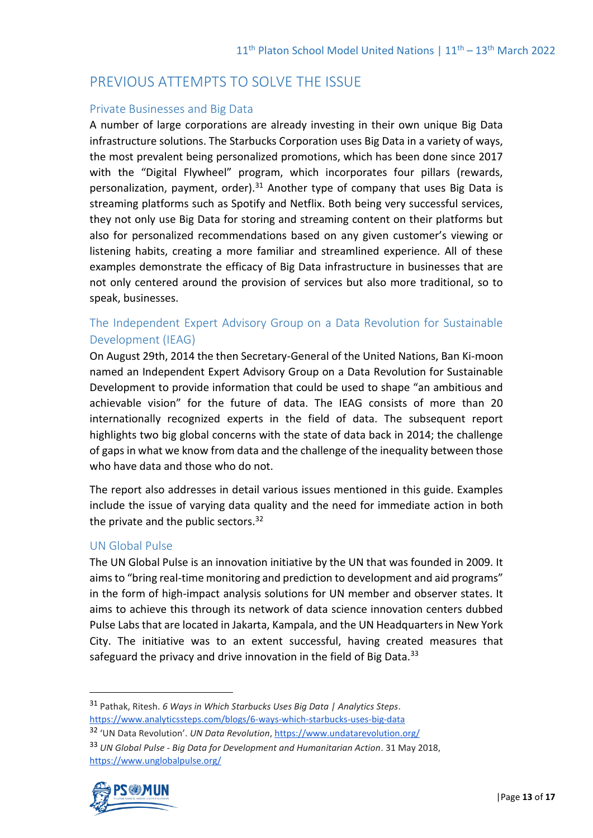# PREVIOUS ATTEMPTS TO SOLVE THE ISSUE

#### Private Businesses and Big Data

A number of large corporations are already investing in their own unique Big Data infrastructure solutions. The Starbucks Corporation uses Big Data in a variety of ways, the most prevalent being personalized promotions, which has been done since 2017 with the "Digital Flywheel" program, which incorporates four pillars (rewards, personalization, payment, order). $31$  Another type of company that uses Big Data is streaming platforms such as Spotify and Netflix. Both being very successful services, they not only use Big Data for storing and streaming content on their platforms but also for personalized recommendations based on any given customer's viewing or listening habits, creating a more familiar and streamlined experience. All of these examples demonstrate the efficacy of Big Data infrastructure in businesses that are not only centered around the provision of services but also more traditional, so to speak, businesses.

## The Independent Expert Advisory Group on a Data Revolution for Sustainable Development (IEAG)

On August 29th, 2014 the then Secretary-General of the United Nations, Ban Ki-moon named an Independent Expert Advisory Group on a Data Revolution for Sustainable Development to provide information that could be used to shape "an ambitious and achievable vision" for the future of data. The IEAG consists of more than 20 internationally recognized experts in the field of data. The subsequent report highlights two big global concerns with the state of data back in 2014; the challenge of gaps in what we know from data and the challenge of the inequality between those who have data and those who do not.

The report also addresses in detail various issues mentioned in this guide. Examples include the issue of varying data quality and the need for immediate action in both the private and the public sectors.<sup>32</sup>

## UN Global Pulse

The UN Global Pulse is an innovation initiative by the UN that was founded in 2009. It aims to "bring real-time monitoring and prediction to development and aid programs" in the form of high-impact analysis solutions for UN member and observer states. It aims to achieve this through its network of data science innovation centers dubbed Pulse Labs that are located in Jakarta, Kampala, and the UN Headquarters in New York City. The initiative was to an extent successful, having created measures that safeguard the privacy and drive innovation in the field of Big Data. $33$ 

<sup>31</sup> Pathak, Ritesh. *6 Ways in Which Starbucks Uses Big Data | Analytics Steps*. <https://www.analyticssteps.com/blogs/6-ways-which-starbucks-uses-big-data>

<sup>32</sup> 'UN Data Revolution'. *UN Data Revolution*[, https://www.undatarevolution.org/](https://www.undatarevolution.org/)

<sup>33</sup> *UN Global Pulse - Big Data for Development and Humanitarian Action*. 31 May 2018, <https://www.unglobalpulse.org/>

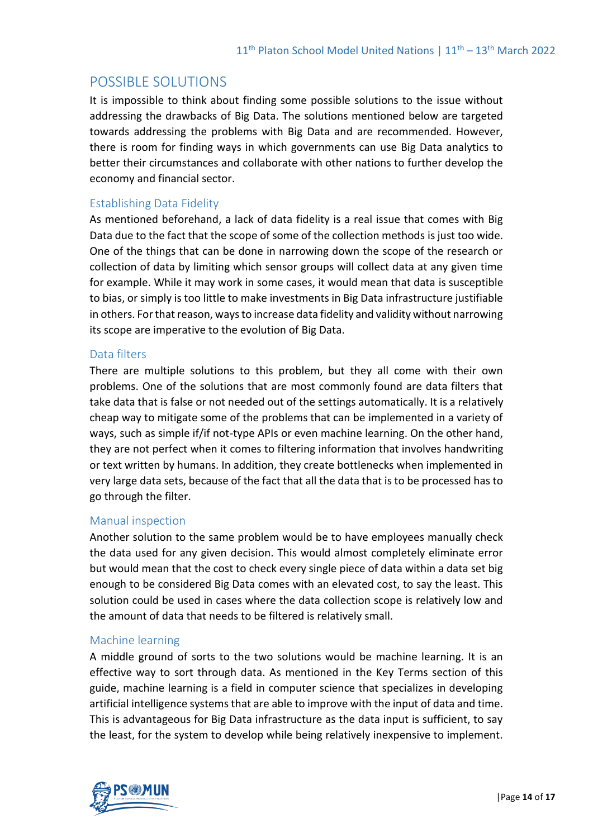# POSSIBLE SOLUTIONS

It is impossible to think about finding some possible solutions to the issue without addressing the drawbacks of Big Data. The solutions mentioned below are targeted towards addressing the problems with Big Data and are recommended. However, there is room for finding ways in which governments can use Big Data analytics to better their circumstances and collaborate with other nations to further develop the economy and financial sector.

## Establishing Data Fidelity

As mentioned beforehand, a lack of data fidelity is a real issue that comes with Big Data due to the fact that the scope of some of the collection methods is just too wide. One of the things that can be done in narrowing down the scope of the research or collection of data by limiting which sensor groups will collect data at any given time for example. While it may work in some cases, it would mean that data is susceptible to bias, or simply is too little to make investments in Big Data infrastructure justifiable in others. For that reason, ways to increase data fidelity and validity without narrowing its scope are imperative to the evolution of Big Data.

## Data filters

There are multiple solutions to this problem, but they all come with their own problems. One of the solutions that are most commonly found are data filters that take data that is false or not needed out of the settings automatically. It is a relatively cheap way to mitigate some of the problems that can be implemented in a variety of ways, such as simple if/if not-type APIs or even machine learning. On the other hand, they are not perfect when it comes to filtering information that involves handwriting or text written by humans. In addition, they create bottlenecks when implemented in very large data sets, because of the fact that all the data that is to be processed has to go through the filter.

## Manual inspection

Another solution to the same problem would be to have employees manually check the data used for any given decision. This would almost completely eliminate error but would mean that the cost to check every single piece of data within a data set big enough to be considered Big Data comes with an elevated cost, to say the least. This solution could be used in cases where the data collection scope is relatively low and the amount of data that needs to be filtered is relatively small.

## Machine learning

A middle ground of sorts to the two solutions would be machine learning. It is an effective way to sort through data. As mentioned in the Key Terms section of this guide, machine learning is a field in computer science that specializes in developing artificial intelligence systems that are able to improve with the input of data and time. This is advantageous for Big Data infrastructure as the data input is sufficient, to say the least, for the system to develop while being relatively inexpensive to implement.

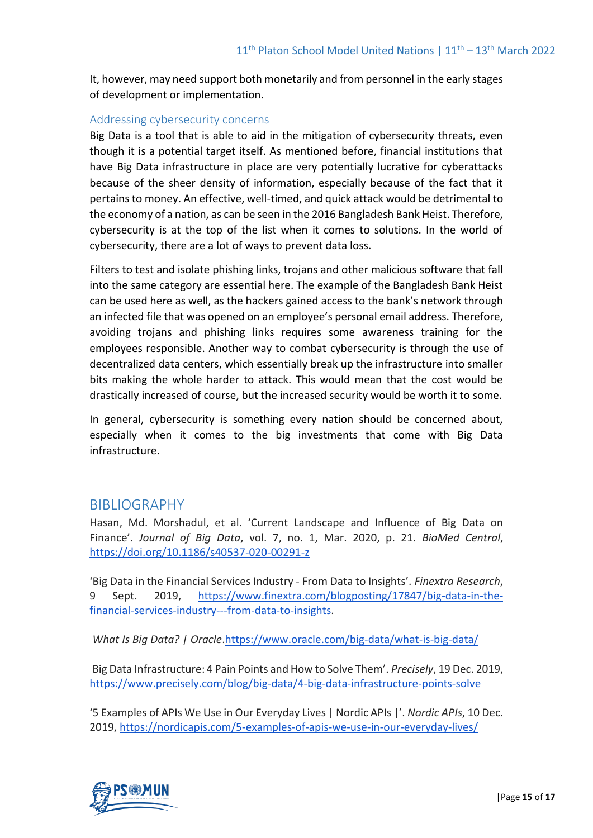It, however, may need support both monetarily and from personnel in the early stages of development or implementation.

## Addressing cybersecurity concerns

Big Data is a tool that is able to aid in the mitigation of cybersecurity threats, even though it is a potential target itself. As mentioned before, financial institutions that have Big Data infrastructure in place are very potentially lucrative for cyberattacks because of the sheer density of information, especially because of the fact that it pertains to money. An effective, well-timed, and quick attack would be detrimental to the economy of a nation, as can be seen in the 2016 Bangladesh Bank Heist. Therefore, cybersecurity is at the top of the list when it comes to solutions. In the world of cybersecurity, there are a lot of ways to prevent data loss.

Filters to test and isolate phishing links, trojans and other malicious software that fall into the same category are essential here. The example of the Bangladesh Bank Heist can be used here as well, as the hackers gained access to the bank's network through an infected file that was opened on an employee's personal email address. Therefore, avoiding trojans and phishing links requires some awareness training for the employees responsible. Another way to combat cybersecurity is through the use of decentralized data centers, which essentially break up the infrastructure into smaller bits making the whole harder to attack. This would mean that the cost would be drastically increased of course, but the increased security would be worth it to some.

In general, cybersecurity is something every nation should be concerned about, especially when it comes to the big investments that come with Big Data infrastructure.

## BIBLIOGRAPHY

Hasan, Md. Morshadul, et al. 'Current Landscape and Influence of Big Data on Finance'. *Journal of Big Data*, vol. 7, no. 1, Mar. 2020, p. 21. *BioMed Central*, <https://doi.org/10.1186/s40537-020-00291-z>

'Big Data in the Financial Services Industry - From Data to Insights'. *Finextra Research*, 9 Sept. 2019, [https://www.finextra.com/blogposting/17847/big-data-in-the](https://www.finextra.com/blogposting/17847/big-data-in-the-financial-services-industry---from-data-to-insights)[financial-services-industry---from-data-to-insights.](https://www.finextra.com/blogposting/17847/big-data-in-the-financial-services-industry---from-data-to-insights)

*What Is Big Data? | Oracle*[.https://www.oracle.com/big-data/what-is-big-data/](https://www.oracle.com/big-data/what-is-big-data/)

Big Data Infrastructure: 4 Pain Points and How to Solve Them'. *Precisely*, 19 Dec. 2019, <https://www.precisely.com/blog/big-data/4-big-data-infrastructure-points-solve>

'5 Examples of APIs We Use in Our Everyday Lives | Nordic APIs |'. *Nordic APIs*, 10 Dec. 2019,<https://nordicapis.com/5-examples-of-apis-we-use-in-our-everyday-lives/>

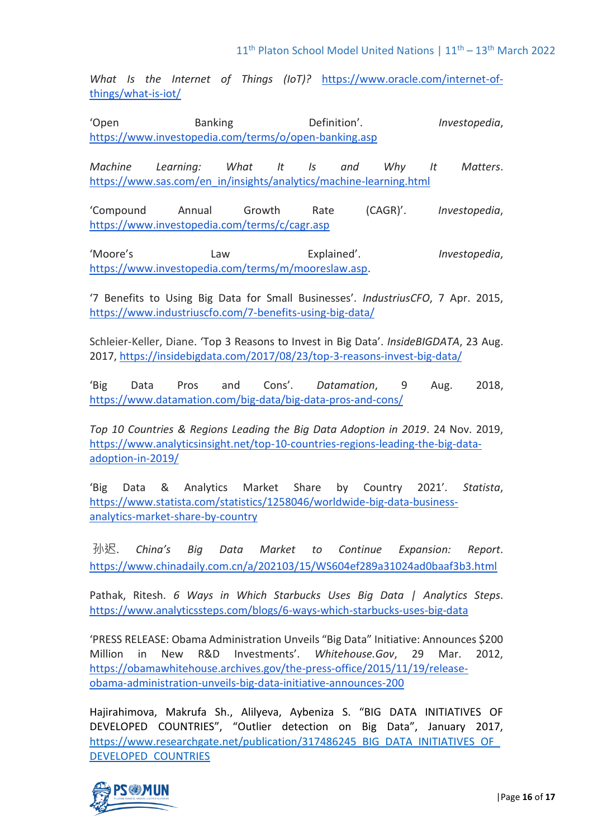*What Is the Internet of Things (IoT)?* [https://www.oracle.com/internet-of](https://www.oracle.com/internet-of-things/what-is-iot/)[things/what-is-iot/](https://www.oracle.com/internet-of-things/what-is-iot/)

'Open Banking Definition'. *Investopedia*, <https://www.investopedia.com/terms/o/open-banking.asp>

*Machine Learning: What It Is and Why It Matters*. [https://www.sas.com/en\\_in/insights/analytics/machine-learning.html](https://www.sas.com/en_in/insights/analytics/machine-learning.html)

'Compound Annual Growth Rate (CAGR)'. *Investopedia*, <https://www.investopedia.com/terms/c/cagr.asp>

'Moore's Law Explained'. *Investopedia*, [https://www.investopedia.com/terms/m/mooreslaw.asp.](https://www.investopedia.com/terms/m/mooreslaw.asp)

'7 Benefits to Using Big Data for Small Businesses'. *IndustriusCFO*, 7 Apr. 2015, <https://www.industriuscfo.com/7-benefits-using-big-data/>

Schleier-Keller, Diane. 'Top 3 Reasons to Invest in Big Data'. *InsideBIGDATA*, 23 Aug. 2017,<https://insidebigdata.com/2017/08/23/top-3-reasons-invest-big-data/>

'Big Data Pros and Cons'. *Datamation*, 9 Aug. 2018, <https://www.datamation.com/big-data/big-data-pros-and-cons/>

*Top 10 Countries & Regions Leading the Big Data Adoption in 2019*. 24 Nov. 2019, [https://www.analyticsinsight.net/top-10-countries-regions-leading-the-big-data](https://www.analyticsinsight.net/top-10-countries-regions-leading-the-big-data-adoption-in-2019/)[adoption-in-2019/](https://www.analyticsinsight.net/top-10-countries-regions-leading-the-big-data-adoption-in-2019/)

'Big Data & Analytics Market Share by Country 2021'. *Statista*, [https://www.statista.com/statistics/1258046/worldwide-big-data-business](https://www.statista.com/statistics/1258046/worldwide-big-data-business-analytics-market-share-by-country/)[analytics-market-share-by-country](https://www.statista.com/statistics/1258046/worldwide-big-data-business-analytics-market-share-by-country/)

孙迟. *China's Big Data Market to Continue Expansion: Report*. <https://www.chinadaily.com.cn/a/202103/15/WS604ef289a31024ad0baaf3b3.html>

Pathak, Ritesh. *6 Ways in Which Starbucks Uses Big Data | Analytics Steps*. <https://www.analyticssteps.com/blogs/6-ways-which-starbucks-uses-big-data>

'PRESS RELEASE: Obama Administration Unveils "Big Data" Initiative: Announces \$200 Million in New R&D Investments'. *Whitehouse.Gov*, 29 Mar. 2012, [https://obamawhitehouse.archives.gov/the-press-office/2015/11/19/release](https://obamawhitehouse.archives.gov/the-press-office/2015/11/19/release-obama-administration-unveils-big-data-initiative-announces-200)[obama-administration-unveils-big-data-initiative-announces-200](https://obamawhitehouse.archives.gov/the-press-office/2015/11/19/release-obama-administration-unveils-big-data-initiative-announces-200)

Hajirahimova, Makrufa Sh., Alilyeva, Aybeniza S. "BIG DATA INITIATIVES OF DEVELOPED COUNTRIES", "Outlier detection on Big Data", January 2017, https://www.researchgate.net/publication/317486245\_BIG\_DATA\_INITIATIVES\_OF [DEVELOPED\\_COUNTRIES](https://www.researchgate.net/publication/317486245_BIG_DATA_INITIATIVES_OF_DEVELOPED_COUNTRIES)